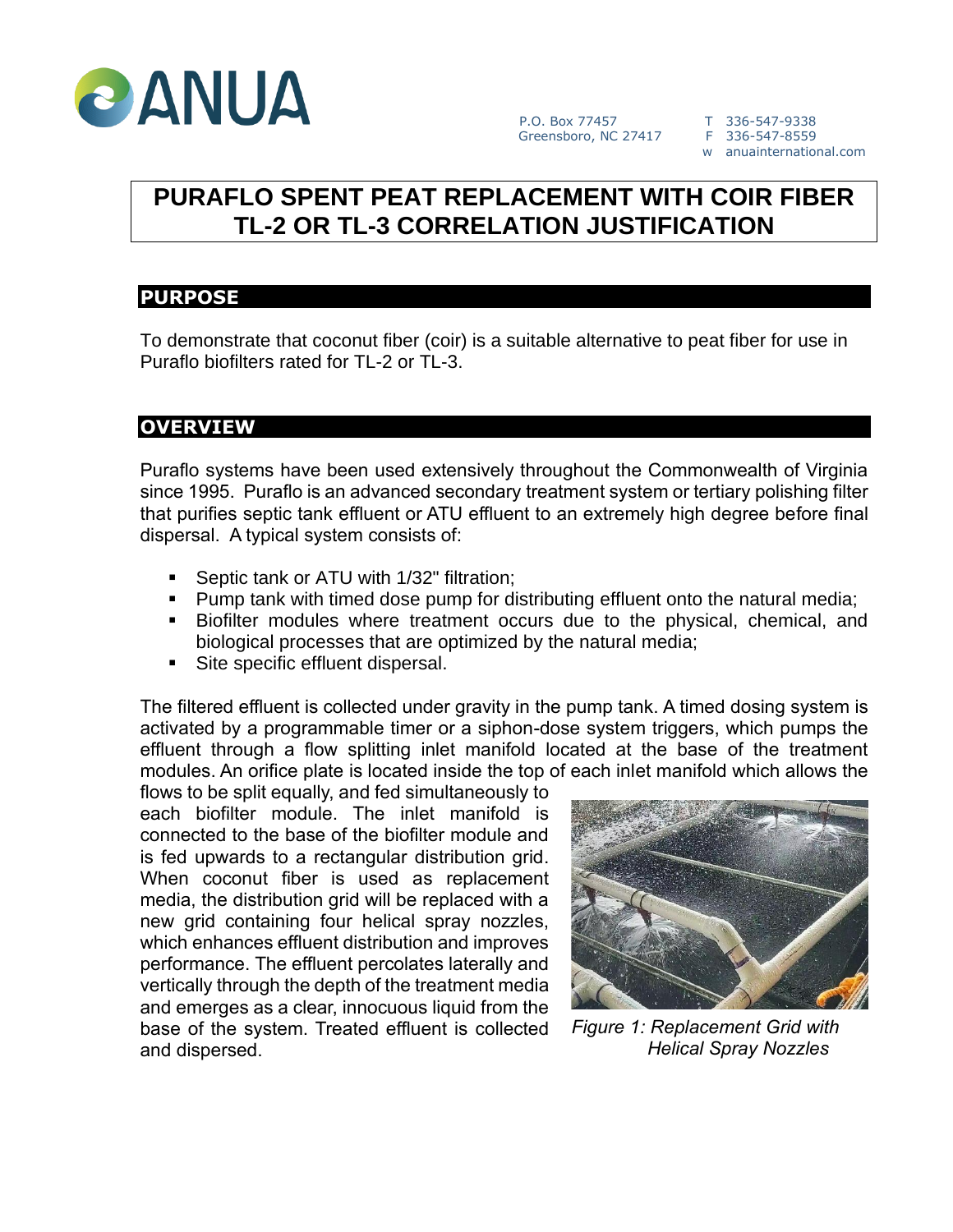

w anuainternational.com

# **PURAFLO SPENT PEAT REPLACEMENT WITH COIR FIBER TL-2 OR TL-3 CORRELATION JUSTIFICATION**

### **PURPOSE**

To demonstrate that coconut fiber (coir) is a suitable alternative to peat fiber for use in Puraflo biofilters rated for TL-2 or TL-3.

# **OVERVIEW**

Puraflo systems have been used extensively throughout the Commonwealth of Virginia since 1995. Puraflo is an advanced secondary treatment system or tertiary polishing filter that purifies septic tank effluent or ATU effluent to an extremely high degree before final dispersal. A typical system consists of:

- Septic tank or ATU with 1/32" filtration;
- **Pump tank with timed dose pump for distributing effluent onto the natural media;**
- Biofilter modules where treatment occurs due to the physical, chemical, and biological processes that are optimized by the natural media;
- Site specific effluent dispersal.

The filtered effluent is collected under gravity in the pump tank. A timed dosing system is activated by a programmable timer or a siphon-dose system triggers, which pumps the effluent through a flow splitting inlet manifold located at the base of the treatment modules. An orifice plate is located inside the top of each inlet manifold which allows the

flows to be split equally, and fed simultaneously to each biofilter module. The inlet manifold is connected to the base of the biofilter module and is fed upwards to a rectangular distribution grid. When coconut fiber is used as replacement media, the distribution grid will be replaced with a new grid containing four helical spray nozzles, which enhances effluent distribution and improves performance. The effluent percolates laterally and vertically through the depth of the treatment media and emerges as a clear, innocuous liquid from the base of the system. Treated effluent is collected and dispersed.



*Figure 1: Replacement Grid with Helical Spray Nozzles*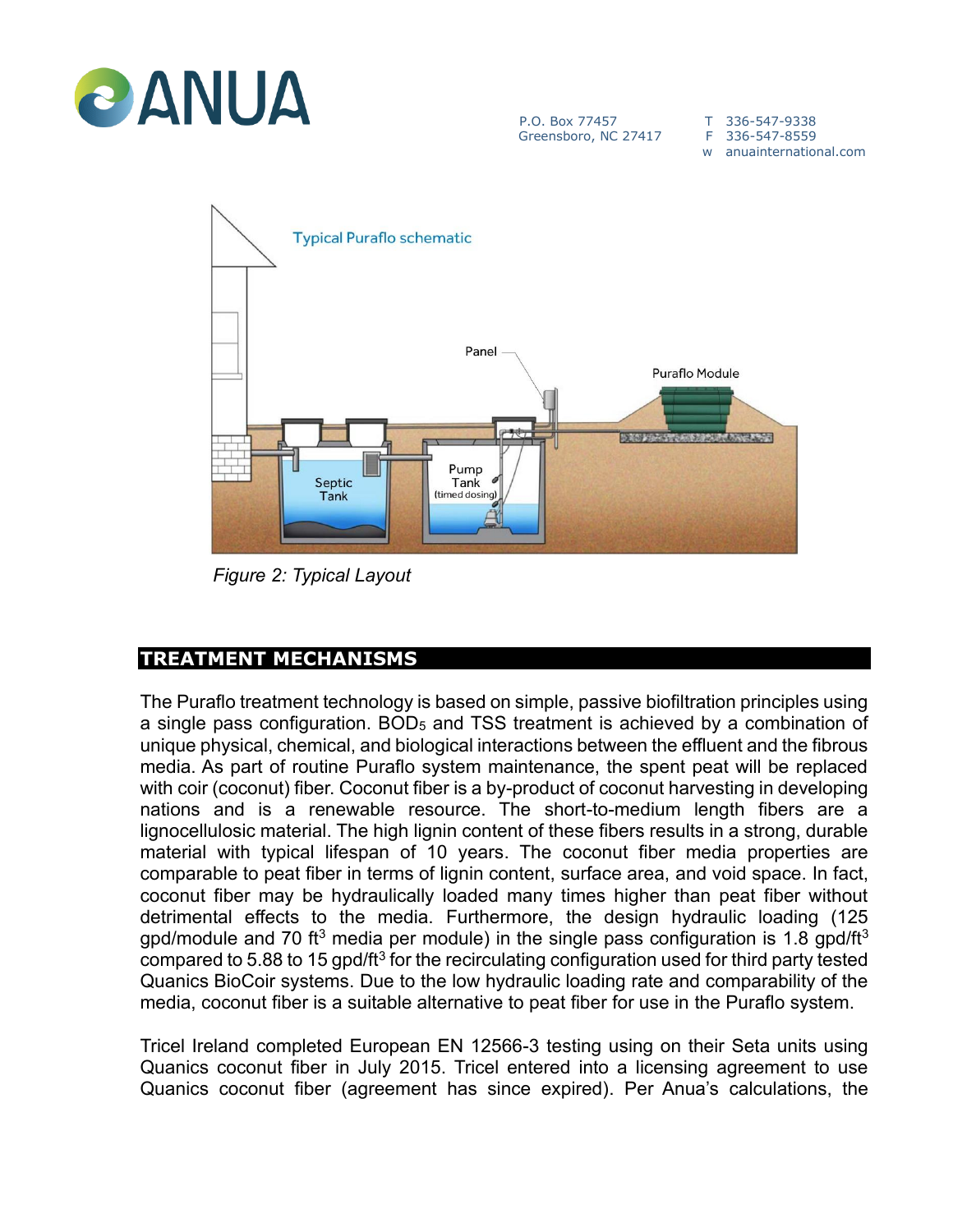

P.O. Box 77457 T 336-547-9338<br>Greensboro, NC 27417 F 336-547-8559 Greensboro, NC 27417

w anuainternational.com



 *Figure 2: Typical Layout*

# **TREATMENT MECHANISMS**

The Puraflo treatment technology is based on simple, passive biofiltration principles using a single pass configuration. BOD<sub>5</sub> and TSS treatment is achieved by a combination of unique physical, chemical, and biological interactions between the effluent and the fibrous media. As part of routine Puraflo system maintenance, the spent peat will be replaced with coir (coconut) fiber. Coconut fiber is a by-product of coconut harvesting in developing nations and is a renewable resource. The short-to-medium length fibers are a lignocellulosic material. The high lignin content of these fibers results in a strong, durable material with typical lifespan of 10 years. The coconut fiber media properties are comparable to peat fiber in terms of lignin content, surface area, and void space. In fact, coconut fiber may be hydraulically loaded many times higher than peat fiber without detrimental effects to the media. Furthermore, the design hydraulic loading (125 gpd/module and 70 ft<sup>3</sup> media per module) in the single pass configuration is 1.8 gpd/ft<sup>3</sup> compared to 5.88 to 15  $g$ pd/ft $3$  for the recirculating configuration used for third party tested Quanics BioCoir systems. Due to the low hydraulic loading rate and comparability of the media, coconut fiber is a suitable alternative to peat fiber for use in the Puraflo system.

Tricel Ireland completed European EN 12566-3 testing using on their Seta units using Quanics coconut fiber in July 2015. Tricel entered into a licensing agreement to use Quanics coconut fiber (agreement has since expired). Per Anua's calculations, the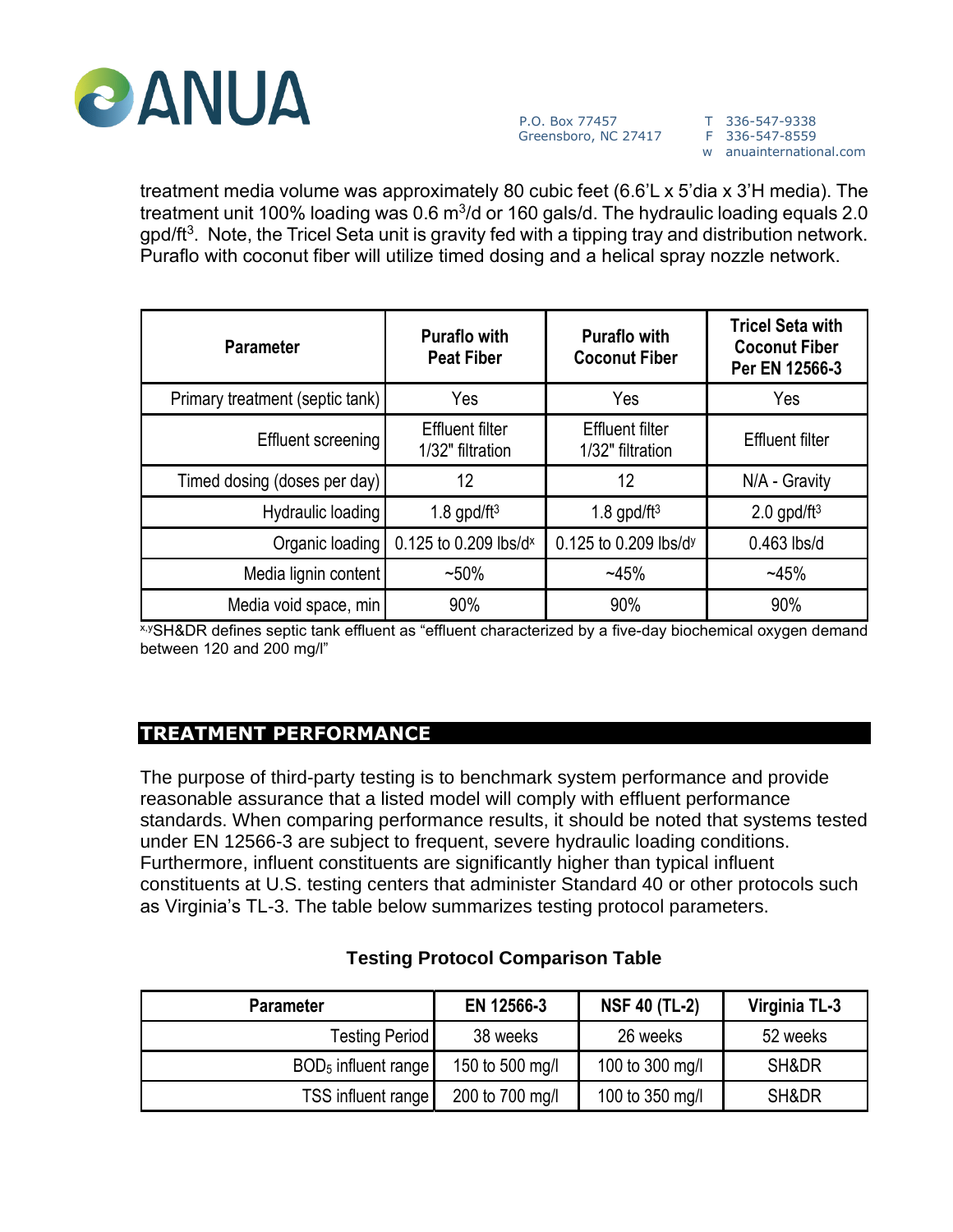

w anuainternational.com

treatment media volume was approximately 80 cubic feet (6.6'L x 5'dia x 3'H media). The treatment unit 100% loading was 0.6 m $^{3}\!/$ d or 160 gals/d. The hydraulic loading equals 2.0 gpd/ft $3$ . Note, the Tricel Seta unit is gravity fed with a tipping tray and distribution network. Puraflo with coconut fiber will utilize timed dosing and a helical spray nozzle network.

| <b>Parameter</b>                | <b>Puraflo with</b><br><b>Peat Fiber</b>   | <b>Puraflo with</b><br><b>Coconut Fiber</b> | <b>Tricel Seta with</b><br><b>Coconut Fiber</b><br>Per EN 12566-3 |
|---------------------------------|--------------------------------------------|---------------------------------------------|-------------------------------------------------------------------|
| Primary treatment (septic tank) | Yes                                        | Yes                                         | Yes                                                               |
| Effluent screening              | <b>Effluent filter</b><br>1/32" filtration | <b>Effluent filter</b><br>1/32" filtration  | <b>Effluent filter</b>                                            |
| Timed dosing (doses per day)    | 12                                         | 12                                          | N/A - Gravity                                                     |
| Hydraulic loading               | 1.8 gpd/ft $3$                             | 1.8 gpd/ft $3$                              | $2.0$ gpd/ft <sup>3</sup>                                         |
| Organic loading                 | 0.125 to 0.209 lbs/dx                      | 0.125 to 0.209 lbs/d <sup>y</sup>           | $0.463$ lbs/d                                                     |
| Media lignin content            | $~50\%$                                    | ~145%                                       | $-45%$                                                            |
| Media void space, min           | 90%                                        | 90%                                         | 90%                                                               |

x,ySH&DR defines septic tank effluent as "effluent characterized by a five-day biochemical oxygen demand between 120 and 200 mg/l"

# **TREATMENT PERFORMANCE**

The purpose of third-party testing is to benchmark system performance and provide reasonable assurance that a listed model will comply with effluent performance standards. When comparing performance results, it should be noted that systems tested under EN 12566-3 are subject to frequent, severe hydraulic loading conditions. Furthermore, influent constituents are significantly higher than typical influent constituents at U.S. testing centers that administer Standard 40 or other protocols such as Virginia's TL-3. The table below summarizes testing protocol parameters.

| <b>Parameter</b>      | EN 12566-3      | <b>NSF 40 (TL-2)</b> | Virginia TL-3 |
|-----------------------|-----------------|----------------------|---------------|
| <b>Testing Period</b> | 38 weeks        | 26 weeks             | 52 weeks      |
| $BOD5$ influent range | 150 to 500 mg/l | 100 to 300 mg/l      | SH&DR         |
| TSS influent range    | 200 to 700 mg/l | 100 to 350 mg/l      | SH&DR         |

### **Testing Protocol Comparison Table**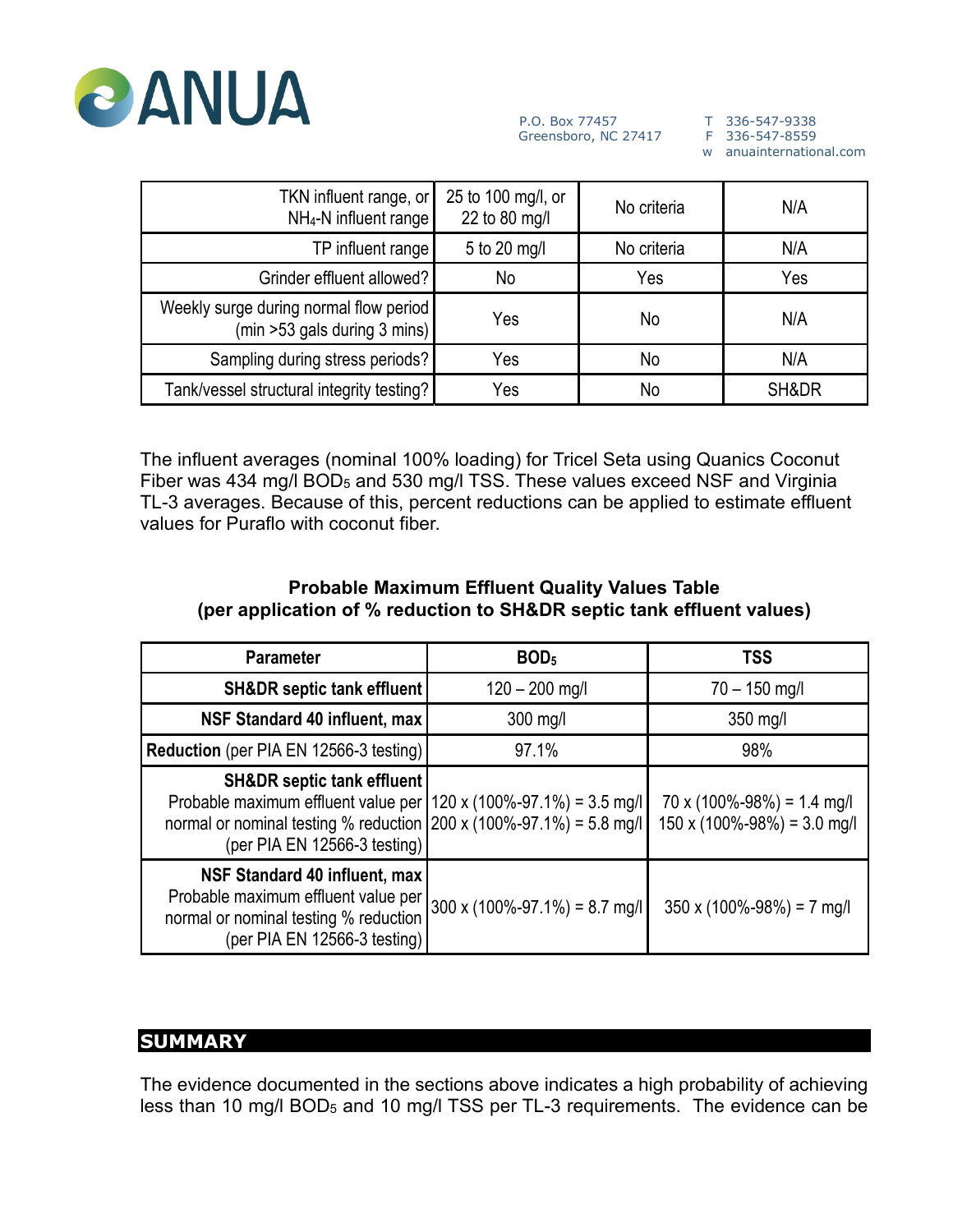

w anuainternational.com

| TKN influent range, or<br>NH <sub>4</sub> -N influent range            | 25 to 100 mg/l, or<br>22 to 80 mg/l | No criteria | N/A   |
|------------------------------------------------------------------------|-------------------------------------|-------------|-------|
| TP influent range                                                      | 5 to 20 mg/l<br>No criteria         |             | N/A   |
| Grinder effluent allowed?                                              | No                                  | Yes         | Yes   |
| Weekly surge during normal flow period<br>(min >53 gals during 3 mins) | Yes                                 | No          | N/A   |
| Sampling during stress periods?                                        | Yes                                 | No          | N/A   |
| Tank/vessel structural integrity testing?                              | Yes                                 | No          | SH&DR |

The influent averages (nominal 100% loading) for Tricel Seta using Quanics Coconut Fiber was 434 mg/l BOD<sub>5</sub> and 530 mg/l TSS. These values exceed NSF and Virginia TL-3 averages. Because of this, percent reductions can be applied to estimate effluent values for Puraflo with coconut fiber.

#### **Probable Maximum Effluent Quality Values Table (per application of % reduction to SH&DR septic tank effluent values)**

| <b>Parameter</b>                                                                                                                                                                                                    | BOD <sub>5</sub>                         | <b>TSS</b>                                                                      |
|---------------------------------------------------------------------------------------------------------------------------------------------------------------------------------------------------------------------|------------------------------------------|---------------------------------------------------------------------------------|
| <b>SH&amp;DR</b> septic tank effluent                                                                                                                                                                               | $120 - 200$ mg/l                         | $70 - 150$ mg/l                                                                 |
| NSF Standard 40 influent, max                                                                                                                                                                                       | 300 mg/l                                 | $350$ mg/l                                                                      |
| Reduction (per PIA EN 12566-3 testing)                                                                                                                                                                              | 97.1%                                    | 98%                                                                             |
| <b>SH&amp;DR</b> septic tank effluent<br>Probable maximum effluent value per   120 x (100%-97.1%) = 3.5 mg/l<br>normal or nominal testing % reduction 200 x (100%-97.1%) = 5.8 mg/l<br>(per PIA EN 12566-3 testing) |                                          | $70 \times (100\% - 98\%) = 1.4$ mg/l<br>$150 \times (100\% - 98\%) = 3.0$ mg/l |
| NSF Standard 40 influent, max<br>Probable maximum effluent value per<br>normal or nominal testing % reduction<br>(per PIA EN 12566-3 testing)                                                                       | $300 \times (100\% - 97.1\%) = 8.7$ mg/l | $350 \times (100\% - 98\%) = 7$ mg/l                                            |

# **SUMMARY**

The evidence documented in the sections above indicates a high probability of achieving less than 10 mg/l BOD<sub>5</sub> and 10 mg/l TSS per TL-3 requirements. The evidence can be